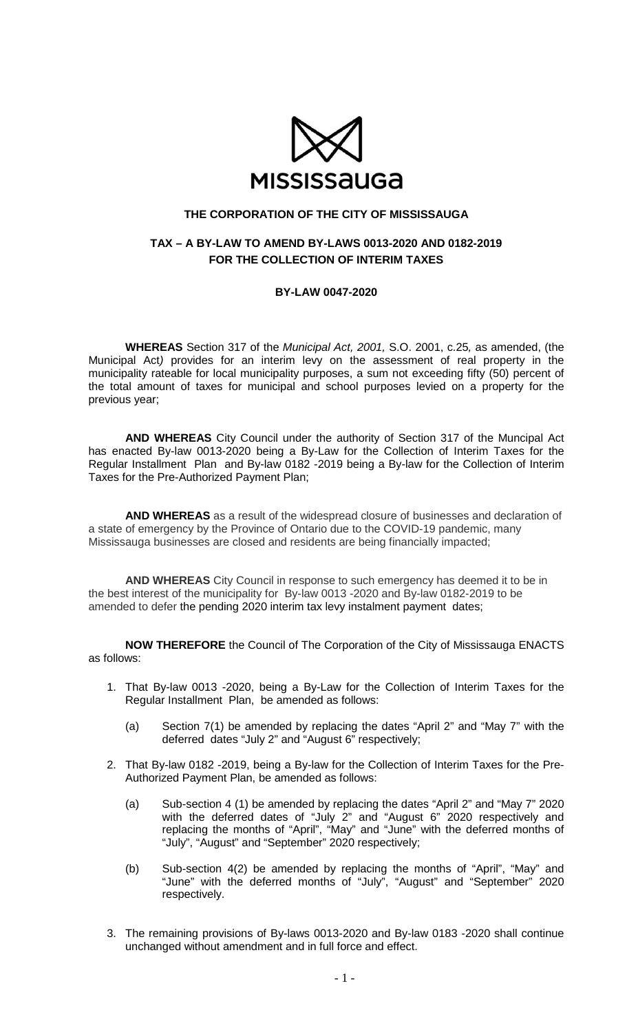

## **THE CORPORATION OF THE CITY OF MISSISSAUGA**

## **TAX – A BY-LAW TO AMEND BY-LAWS 0013-2020 AND 0182-2019 FOR THE COLLECTION OF INTERIM TAXES**

## **BY-LAW 0047-2020**

**WHEREAS** Section 317 of the *Municipal Act, 2001,* S.O. 2001, c.25*,* as amended, (the Municipal Act*)* provides for an interim levy on the assessment of real property in the municipality rateable for local municipality purposes, a sum not exceeding fifty (50) percent of the total amount of taxes for municipal and school purposes levied on a property for the previous year;

**AND WHEREAS** City Council under the authority of Section 317 of the Muncipal Act has enacted By-law 0013-2020 being a By-Law for the Collection of Interim Taxes for the Regular Installment Plan and By-law 0182 -2019 being a By-law for the Collection of Interim Taxes for the Pre-Authorized Payment Plan;

**AND WHEREAS** as a result of the widespread closure of businesses and declaration of a state of emergency by the Province of Ontario due to the COVID-19 pandemic, many Mississauga businesses are closed and residents are being financially impacted;

**AND WHEREAS** City Council in response to such emergency has deemed it to be in the best interest of the municipality for By-law 0013 -2020 and By-law 0182-2019 to be amended to defer the pending 2020 interim tax levy instalment payment dates;

**NOW THEREFORE** the Council of The Corporation of the City of Mississauga ENACTS as follows:

- 1. That By-law 0013 -2020, being a By-Law for the Collection of Interim Taxes for the Regular Installment Plan, be amended as follows:
	- (a) Section 7(1) be amended by replacing the dates "April 2" and "May 7" with the deferred dates "July 2" and "August 6" respectively;
- 2. That By-law 0182 -2019, being a By-law for the Collection of Interim Taxes for the Pre-Authorized Payment Plan, be amended as follows:
	- (a) Sub-section 4 (1) be amended by replacing the dates "April 2" and "May 7" 2020 with the deferred dates of "July 2" and "August 6" 2020 respectively and replacing the months of "April", "May" and "June" with the deferred months of "July", "August" and "September" 2020 respectively;
	- (b) Sub-section 4(2) be amended by replacing the months of "April", "May" and "June" with the deferred months of "July", "August" and "September" 2020 respectively.
- 3. The remaining provisions of By-laws 0013-2020 and By-law 0183 -2020 shall continue unchanged without amendment and in full force and effect.